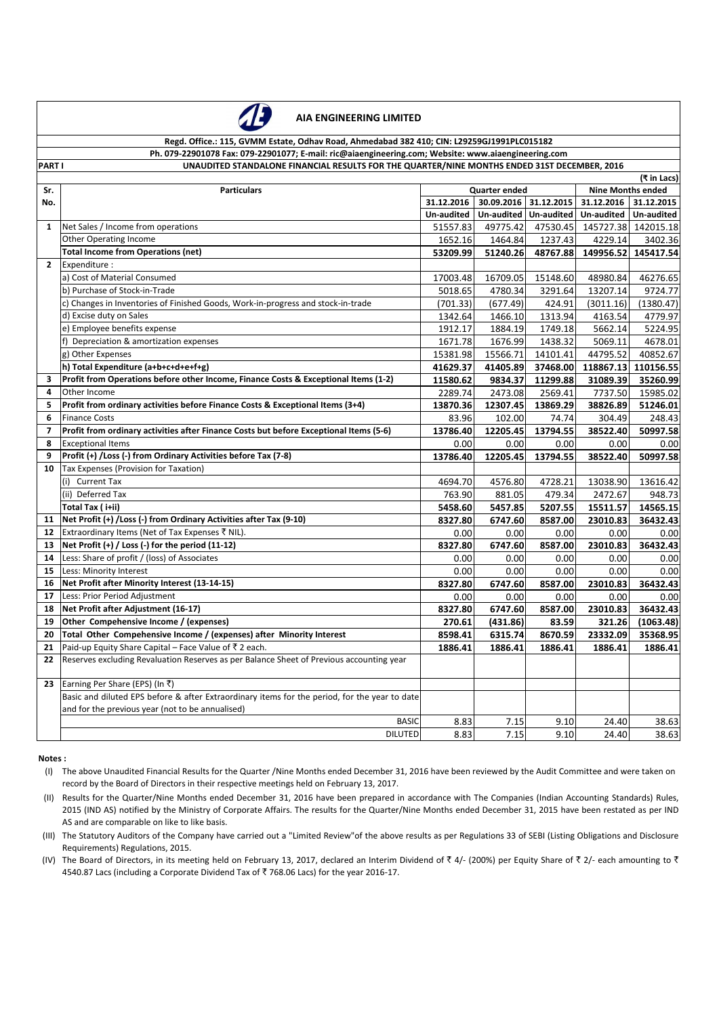- (I) The above Unaudited Financial Results for the Quarter /Nine Months ended December 31, 2016 have been reviewed by the Audit Committee and were taken on record by the Board of Directors in their respective meetings held on February 13, 2017.
- (II) Results for the Quarter/Nine Months ended December 31, 2016 have been prepared in accordance with The Companies (Indian Accounting Standards) Rules, 2015 (IND AS) notified by the Ministry of Corporate Affairs. The results for the Quarter/Nine Months ended December 31, 2015 have been restated as per IND AS and are comparable on like to like basis.
- (III) The Statutory Auditors of the Company have carried out a "Limited Review"of the above results as per Regulations 33 of SEBI (Listing Obligations and Disclosure Requirements) Regulations, 2015.
- (IV) The Board of Directors, in its meeting held on February 13, 2017, declared an Interim Dividend of ₹ 4/- (200%) per Equity Share of ₹ 2/- each amounting to ₹ 4540.87 Lacs (including a Corporate Dividend Tax of ₹768.06 Lacs) for the year 2016-17.

|                   | (₹ in Lacs)                                                                                   |                      |                         |          |                          |            |  |
|-------------------|-----------------------------------------------------------------------------------------------|----------------------|-------------------------|----------|--------------------------|------------|--|
| Sr.               | <b>Particulars</b>                                                                            | <b>Quarter ended</b> |                         |          | <b>Nine Months ended</b> |            |  |
| No.               |                                                                                               | 31.12.2016           | 30.09.2016 31.12.2015   |          | 31.12.2016               | 31.12.2015 |  |
|                   |                                                                                               | <b>Un-audited</b>    | Un-audited   Un-audited |          | Un-audited   Un-audited  |            |  |
| 1                 | Net Sales / Income from operations                                                            | 51557.83             | 49775.42                | 47530.45 | 145727.38                | 142015.18  |  |
|                   | <b>Other Operating Income</b>                                                                 | 1652.16              | 1464.84                 | 1237.43  | 4229.14                  | 3402.36    |  |
|                   | <b>Total Income from Operations (net)</b>                                                     | 53209.99             | 51240.26                | 48767.88 | 149956.52                | 145417.54  |  |
| $2^{\circ}$       | Expenditure :                                                                                 |                      |                         |          |                          |            |  |
|                   | a) Cost of Material Consumed                                                                  | 17003.48             | 16709.05                | 15148.60 | 48980.84                 | 46276.65   |  |
|                   | b) Purchase of Stock-in-Trade                                                                 | 5018.65              | 4780.34                 | 3291.64  | 13207.14                 | 9724.77    |  |
|                   | c) Changes in Inventories of Finished Goods, Work-in-progress and stock-in-trade              | (701.33)             | (677.49)                | 424.91   | (3011.16)                | (1380.47)  |  |
|                   | d) Excise duty on Sales                                                                       | 1342.64              | 1466.10                 | 1313.94  | 4163.54                  | 4779.97    |  |
|                   | e) Employee benefits expense                                                                  | 1912.17              | 1884.19                 | 1749.18  | 5662.14                  | 5224.95    |  |
|                   | Depreciation & amortization expenses                                                          | 1671.78              | 1676.99                 | 1438.32  | 5069.11                  | 4678.01    |  |
|                   | g) Other Expenses                                                                             | 15381.98             | 15566.71                | 14101.41 | 44795.52                 | 40852.67   |  |
|                   | h) Total Expenditure (a+b+c+d+e+f+g)                                                          | 41629.37             | 41405.89                | 37468.00 | 118867.13                | 110156.55  |  |
| 3                 | Profit from Operations before other Income, Finance Costs & Exceptional Items (1-2)           | 11580.62             | 9834.37                 | 11299.88 | 31089.39                 | 35260.99   |  |
| 4                 | Other Income                                                                                  | 2289.74              | 2473.08                 | 2569.41  | 7737.50                  | 15985.02   |  |
| 5.                | Profit from ordinary activities before Finance Costs & Exceptional Items (3+4)                | 13870.36             | 12307.45                | 13869.29 | 38826.89                 | 51246.01   |  |
| 6                 | <b>Finance Costs</b>                                                                          | 83.96                | 102.00                  | 74.74    | 304.49                   | 248.43     |  |
| $\mathbf{7}$      | Profit from ordinary activities after Finance Costs but before Exceptional Items (5-6)        | 13786.40             | 12205.45                | 13794.55 | 38522.40                 | 50997.58   |  |
| 8                 | <b>Exceptional Items</b>                                                                      | 0.00                 | 0.00                    | 0.00     | 0.00                     | 0.00       |  |
| 9                 | Profit (+) / Loss (-) from Ordinary Activities before Tax (7-8)                               | 13786.40             | 12205.45                | 13794.55 | 38522.40                 | 50997.58   |  |
| 10                | Tax Expenses (Provision for Taxation)                                                         |                      |                         |          |                          |            |  |
|                   | <b>Current Tax</b>                                                                            | 4694.70              | 4576.80                 | 4728.21  | 13038.90                 | 13616.42   |  |
|                   | Deferred Tax<br>(ii)                                                                          | 763.90               | 881.05                  | 479.34   | 2472.67                  | 948.73     |  |
|                   | Total Tax (i+ii)                                                                              | 5458.60              | 5457.85                 | 5207.55  | 15511.57                 | 14565.15   |  |
| 11                | Net Profit (+) / Loss (-) from Ordinary Activities after Tax (9-10)                           | 8327.80              | 6747.60                 | 8587.00  | 23010.83                 | 36432.43   |  |
| $12 \overline{ }$ | Extraordinary Items (Net of Tax Expenses ₹ NIL).                                              | 0.00                 | 0.00                    | 0.00     | 0.00                     | 0.00       |  |
| 13                | Net Profit (+) / Loss (-) for the period (11-12)                                              | 8327.80              | 6747.60                 | 8587.00  | 23010.83                 | 36432.43   |  |
| 14                | Less: Share of profit / (loss) of Associates                                                  | 0.00                 | 0.00                    | 0.00     | 0.00                     | 0.00       |  |
| 15                | Less: Minority Interest                                                                       | 0.00                 | 0.00                    | 0.00     | 0.00                     | 0.00       |  |
| 16                | Net Profit after Minority Interest (13-14-15)                                                 | 8327.80              | 6747.60                 | 8587.00  | 23010.83                 | 36432.43   |  |
| 17                | Less: Prior Period Adjustment                                                                 | 0.00                 | 0.00                    | 0.00     | 0.00                     | 0.00       |  |
| 18                | Net Profit after Adjustment (16-17)                                                           | 8327.80              | 6747.60                 | 8587.00  | 23010.83                 | 36432.43   |  |
| 19                | Other Compehensive Income / (expenses)                                                        | 270.61               | (431.86)                | 83.59    | 321.26                   | (1063.48)  |  |
| 20                | Total Other Compehensive Income / (expenses) after Minority Interest                          | 8598.41              | 6315.74                 | 8670.59  | 23332.09                 | 35368.95   |  |
| 21                | Paid-up Equity Share Capital – Face Value of $\bar{z}$ 2 each.                                | 1886.41              | 1886.41                 | 1886.41  | 1886.41                  | 1886.41    |  |
| 22                | Reserves excluding Revaluation Reserves as per Balance Sheet of Previous accounting year      |                      |                         |          |                          |            |  |
| 23                | Earning Per Share (EPS) (In ₹)                                                                |                      |                         |          |                          |            |  |
|                   | Basic and diluted EPS before & after Extraordinary items for the period, for the year to date |                      |                         |          |                          |            |  |
|                   | and for the previous year (not to be annualised)                                              |                      |                         |          |                          |            |  |
|                   | <b>BASIC</b>                                                                                  | 8.83                 | 7.15                    | 9.10     | 24.40                    | 38.63      |  |
|                   | <b>DILUTED</b>                                                                                | 8.83                 | 7.15                    | 9.10     | 24.40                    | 38.63      |  |

**Notes :**



## **AIA ENGINEERING LIMITED**

**Regd. Office.: 115, GVMM Estate, Odhav Road, Ahmedabad 382 410; CIN: L29259GJ1991PLC015182**

**Ph. 079-22901078 Fax: 079-22901077; E-mail: ric@aiaengineering.com; Website: www.aiaengineering.com**

**PART I UNAUDITED STANDALONE FINANCIAL RESULTS FOR THE QUARTER/NINE MONTHS ENDED 31ST DECEMBER, 2016**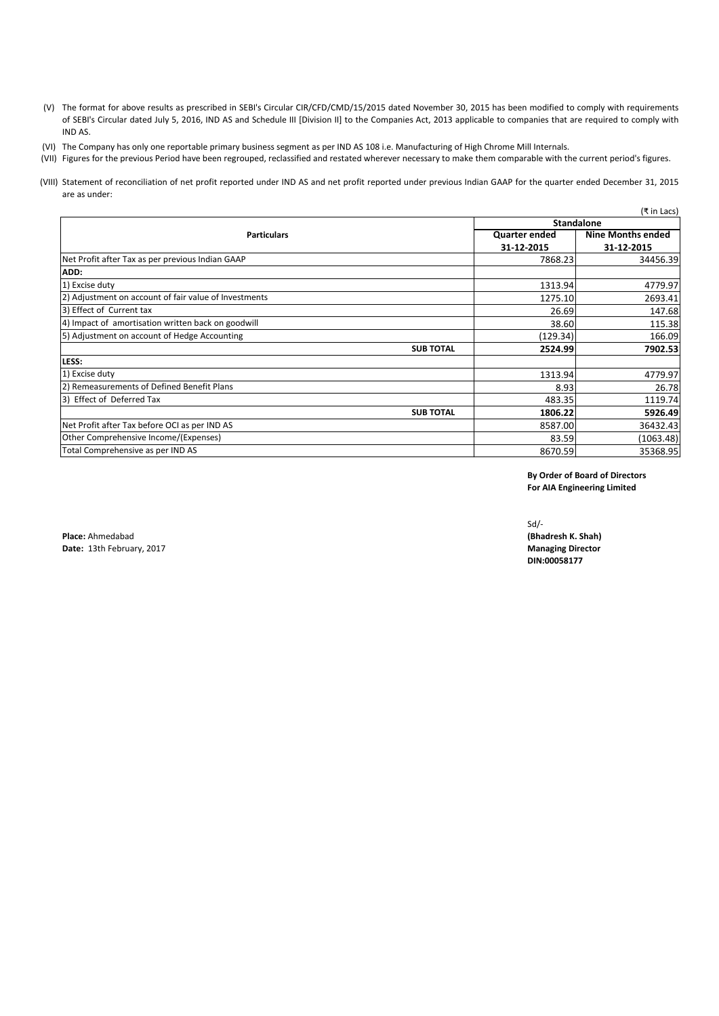**Place:** Ahmedabad **Date:** 13th February, 2017 Sd/- **(Bhadresh K. Shah) Managing Director**

**DIN:00058177**

**By Order of Board of Directors For AIA Engineering Limited**

|                                                       |                      | (₹ in Lacs)              |  |  |  |
|-------------------------------------------------------|----------------------|--------------------------|--|--|--|
|                                                       |                      | <b>Standalone</b>        |  |  |  |
| <b>Particulars</b>                                    | <b>Quarter ended</b> | <b>Nine Months ended</b> |  |  |  |
|                                                       | 31-12-2015           | 31-12-2015               |  |  |  |
| Net Profit after Tax as per previous Indian GAAP      | 7868.23              | 34456.39                 |  |  |  |
| ADD:                                                  |                      |                          |  |  |  |
| 1) Excise duty                                        | 1313.94              | 4779.97                  |  |  |  |
| 2) Adjustment on account of fair value of Investments | 1275.10              | 2693.41                  |  |  |  |
| 3) Effect of Current tax                              | 26.69                | 147.68                   |  |  |  |
| 4) Impact of amortisation written back on goodwill    | 38.60                | 115.38                   |  |  |  |
| 5) Adjustment on account of Hedge Accounting          | (129.34)             | 166.09                   |  |  |  |
| <b>SUB TOTAL</b>                                      | 2524.99              | 7902.53                  |  |  |  |
| LESS:                                                 |                      |                          |  |  |  |
| 1) Excise duty                                        | 1313.94              | 4779.97                  |  |  |  |
| 2) Remeasurements of Defined Benefit Plans            | 8.93                 | 26.78                    |  |  |  |
| 3) Effect of Deferred Tax                             | 483.35               | 1119.74                  |  |  |  |
| <b>SUB TOTAL</b>                                      | 1806.22              | 5926.49                  |  |  |  |
| Net Profit after Tax before OCI as per IND AS         | 8587.00              | 36432.43                 |  |  |  |
| Other Comprehensive Income/(Expenses)                 | 83.59                | (1063.48)                |  |  |  |
| Total Comprehensive as per IND AS                     | 8670.59              | 35368.95                 |  |  |  |

- (V) The format for above results as prescribed in SEBI's Circular CIR/CFD/CMD/15/2015 dated November 30, 2015 has been modified to comply with requirements of SEBI's Circular dated July 5, 2016, IND AS and Schedule III [Division II] to the Companies Act, 2013 applicable to companies that are required to comply with IND AS.
- (VI) The Company has only one reportable primary business segment as per IND AS 108 i.e. Manufacturing of High Chrome Mill Internals.
- (VII) Figures for the previous Period have been regrouped, reclassified and restated wherever necessary to make them comparable with the current period's figures.
- (VIII) Statement of reconciliation of net profit reported under IND AS and net profit reported under previous Indian GAAP for the quarter ended December 31, 2015 are as under: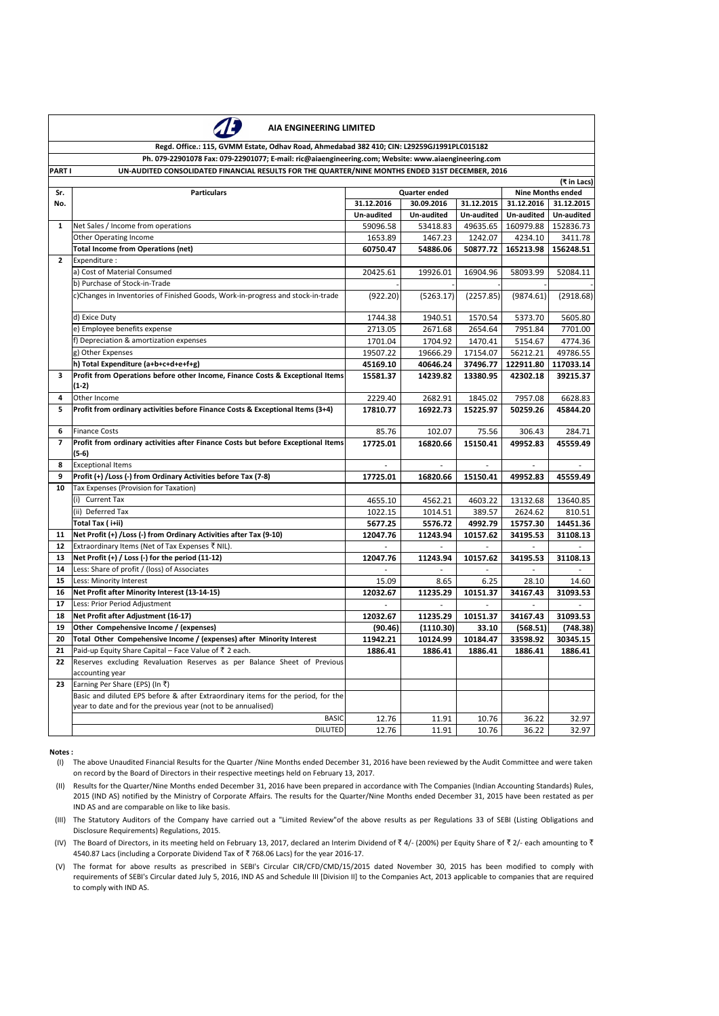|                         | <b>PARII</b><br>UN-AUDITED CONSOLIDATED FINANCIAL RESULTS FOR THE QUARTER/NINE MONTHS ENDED 31ST DECEMBER, 2016<br>(₹ in Lacs)                    |                   |                      |                          |                   |                   |  |
|-------------------------|---------------------------------------------------------------------------------------------------------------------------------------------------|-------------------|----------------------|--------------------------|-------------------|-------------------|--|
| Sr.                     | <b>Particulars</b>                                                                                                                                |                   | <b>Quarter ended</b> | <b>Nine Months ended</b> |                   |                   |  |
| No.                     |                                                                                                                                                   | 31.12.2016        | 30.09.2016           | 31.12.2015               | 31.12.2016        | 31.12.2015        |  |
|                         |                                                                                                                                                   | <b>Un-audited</b> | <b>Un-audited</b>    | <b>Un-audited</b>        | <b>Un-audited</b> | <b>Un-audited</b> |  |
| $\mathbf{1}$            | Net Sales / Income from operations                                                                                                                | 59096.58          | 53418.83             | 49635.65                 | 160979.88         | 152836.73         |  |
|                         | <b>Other Operating Income</b>                                                                                                                     | 1653.89           | 1467.23              | 1242.07                  | 4234.10           | 3411.78           |  |
|                         | <b>Total Income from Operations (net)</b>                                                                                                         | 60750.47          | 54886.06             | 50877.72                 | 165213.98         | 156248.51         |  |
| $\mathbf{2}$            | Expenditure :                                                                                                                                     |                   |                      |                          |                   |                   |  |
|                         | a) Cost of Material Consumed                                                                                                                      | 20425.61          | 19926.01             | 16904.96                 | 58093.99          | 52084.11          |  |
|                         | b) Purchase of Stock-in-Trade                                                                                                                     |                   |                      |                          |                   |                   |  |
|                         | c)Changes in Inventories of Finished Goods, Work-in-progress and stock-in-trade                                                                   | (922.20)          | (5263.17)            | (2257.85)                | (9874.61)         | (2918.68)         |  |
|                         | d) Exice Duty                                                                                                                                     | 1744.38           | 1940.51              | 1570.54                  | 5373.70           | 5605.80           |  |
|                         | e) Employee benefits expense                                                                                                                      | 2713.05           | 2671.68              | 2654.64                  | 7951.84           | 7701.00           |  |
|                         | f) Depreciation & amortization expenses                                                                                                           | 1701.04           | 1704.92              | 1470.41                  | 5154.67           | 4774.36           |  |
|                         | g) Other Expenses                                                                                                                                 | 19507.22          | 19666.29             | 17154.07                 | 56212.21          | 49786.55          |  |
|                         | h) Total Expenditure (a+b+c+d+e+f+g)                                                                                                              | 45169.10          | 40646.24             | 37496.77                 | 122911.80         | 117033.14         |  |
| 3                       | Profit from Operations before other Income, Finance Costs & Exceptional Items<br>$(1-2)$                                                          | 15581.37          | 14239.82             | 13380.95                 | 42302.18          | 39215.37          |  |
| 4                       | Other Income                                                                                                                                      | 2229.40           | 2682.91              | 1845.02                  | 7957.08           | 6628.83           |  |
| 5.                      | Profit from ordinary activities before Finance Costs & Exceptional Items (3+4)                                                                    | 17810.77          | 16922.73             | 15225.97                 | 50259.26          | 45844.20          |  |
| 6                       | <b>Finance Costs</b>                                                                                                                              | 85.76             | 102.07               | 75.56                    | 306.43            | 284.71            |  |
| $\overline{\mathbf{z}}$ | Profit from ordinary activities after Finance Costs but before Exceptional Items<br>$(5-6)$                                                       | 17725.01          | 16820.66             | 15150.41                 | 49952.83          | 45559.49          |  |
| 8                       | <b>Exceptional Items</b>                                                                                                                          | $\overline{a}$    |                      |                          |                   |                   |  |
| 9                       | Profit (+) / Loss (-) from Ordinary Activities before Tax (7-8)                                                                                   | 17725.01          | 16820.66             | 15150.41                 | 49952.83          | 45559.49          |  |
| 10                      | Tax Expenses (Provision for Taxation)                                                                                                             |                   |                      |                          |                   |                   |  |
|                         | (i) Current Tax                                                                                                                                   | 4655.10           | 4562.21              | 4603.22                  | 13132.68          | 13640.85          |  |
|                         | Deferred Tax<br>(ii)                                                                                                                              | 1022.15           | 1014.51              | 389.57                   | 2624.62           | 810.51            |  |
|                         | Total Tax (i+ii)                                                                                                                                  | 5677.25           | 5576.72              | 4992.79                  | 15757.30          | 14451.36          |  |
| 11                      | Net Profit (+) /Loss (-) from Ordinary Activities after Tax (9-10)                                                                                | 12047.76          | 11243.94             | 10157.62                 | 34195.53          | 31108.13          |  |
| 12                      | Extraordinary Items (Net of Tax Expenses ₹ NIL).                                                                                                  |                   |                      |                          |                   |                   |  |
| 13                      | $Net Profit (+) / Loss (-) for the period (11-12)$                                                                                                | 12047.76          | 11243.94             | 10157.62                 | 34195.53          | 31108.13          |  |
| 14                      | Less: Share of profit / (loss) of Associates                                                                                                      |                   |                      |                          |                   |                   |  |
| 15                      | Less: Minority Interest                                                                                                                           | 15.09             | 8.65                 | 6.25                     | 28.10             | 14.60             |  |
| 16                      | Net Profit after Minority Interest (13-14-15)                                                                                                     | 12032.67          | 11235.29             | 10151.37                 | 34167.43          | 31093.53          |  |
| 17                      | Less: Prior Period Adjustment                                                                                                                     |                   |                      |                          |                   |                   |  |
| 18                      | Net Profit after Adjustment (16-17)                                                                                                               | 12032.67          | 11235.29             | 10151.37                 | 34167.43          | 31093.53          |  |
| 19                      | Other Compehensive Income / (expenses)                                                                                                            | (90.46)           | (1110.30)            | 33.10                    | (568.51)          | (748.38)          |  |
| 20                      | Total Other Compehensive Income / (expenses) after Minority Interest                                                                              | 11942.21          | 10124.99             | 10184.47                 | 33598.92          | 30345.15          |  |
| 21                      | Paid-up Equity Share Capital - Face Value of ₹ 2 each.                                                                                            | 1886.41           | 1886.41              | 1886.41                  | 1886.41           | 1886.41           |  |
| 22                      | Reserves excluding Revaluation Reserves as per Balance Sheet of Previous<br>accounting year                                                       |                   |                      |                          |                   |                   |  |
| 23                      | Earning Per Share (EPS) (In ₹)                                                                                                                    |                   |                      |                          |                   |                   |  |
|                         | Basic and diluted EPS before & after Extraordinary items for the period, for the<br>year to date and for the previous year (not to be annualised) |                   |                      |                          |                   |                   |  |
|                         | <b>BASIC</b>                                                                                                                                      | 12.76             | 11.91                | 10.76                    | 36.22             | 32.97             |  |
|                         | <b>DILUTED</b>                                                                                                                                    | 12.76             | 11.91                | 10.76                    | 36.22             | 32.97             |  |

## **Notes :**

|  | ٠ |
|--|---|
|  |   |

## **AIA ENGINEERING LIMITED**

## **Regd. Office.: 115, GVMM Estate, Odhav Road, Ahmedabad 382 410; CIN: L29259GJ1991PLC015182**

**Ph. 079-22901078 Fax: 079-22901077; E-mail: ric@aiaengineering.com; Website: www.aiaengineering.com**

**PART I UN-AUDITED CONSOLIDATED FINANCIAL RESULTS FOR THE QUARTER/NINE MONTHS ENDED 31ST DECEMBER, 2016**

- (I) The above Unaudited Financial Results for the Quarter /Nine Months ended December 31, 2016 have been reviewed by the Audit Committee and were taken on record by the Board of Directors in their respective meetings held on February 13, 2017.
- (II) Results for the Quarter/Nine Months ended December 31, 2016 have been prepared in accordance with The Companies (Indian Accounting Standards) Rules, 2015 (IND AS) notified by the Ministry of Corporate Affairs. The results for the Quarter/Nine Months ended December 31, 2015 have been restated as per IND AS and are comparable on like to like basis.
- (III) The Statutory Auditors of the Company have carried out a "Limited Review"of the above results as per Regulations 33 of SEBI (Listing Obligations and Disclosure Requirements) Regulations, 2015.
- (IV) The Board of Directors, in its meeting held on February 13, 2017, declared an Interim Dividend of  $\bar{\xi}$  4/- (200%) per Equity Share of  $\bar{\xi}$  2/- each amounting to  $\bar{\xi}$ 4540.87 Lacs (including a Corporate Dividend Tax of  $\bar{\tau}$  768.06 Lacs) for the year 2016-17.
- (V) The format for above results as prescribed in SEBI's Circular CIR/CFD/CMD/15/2015 dated November 30, 2015 has been modified to comply with requirements of SEBI's Circular dated July 5, 2016, IND AS and Schedule III [Division II] to the Companies Act, 2013 applicable to companies that are required to comply with IND AS.